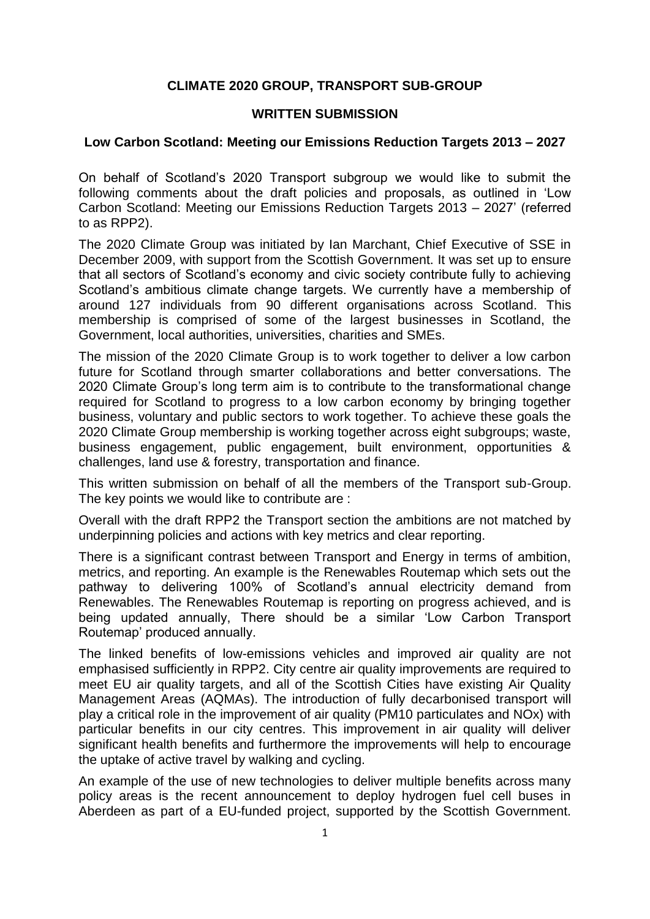## **CLIMATE 2020 GROUP, TRANSPORT SUB-GROUP**

## **WRITTEN SUBMISSION**

## **Low Carbon Scotland: Meeting our Emissions Reduction Targets 2013 – 2027**

On behalf of Scotland's 2020 Transport subgroup we would like to submit the following comments about the draft policies and proposals, as outlined in 'Low Carbon Scotland: Meeting our Emissions Reduction Targets 2013 – 2027' (referred to as RPP2).

The 2020 Climate Group was initiated by Ian Marchant, Chief Executive of SSE in December 2009, with support from the Scottish Government. It was set up to ensure that all sectors of Scotland's economy and civic society contribute fully to achieving Scotland's ambitious climate change targets. We currently have a membership of around 127 individuals from 90 different organisations across Scotland. This membership is comprised of some of the largest businesses in Scotland, the Government, local authorities, universities, charities and SMEs.

The mission of the 2020 Climate Group is to work together to deliver a low carbon future for Scotland through smarter collaborations and better conversations. The 2020 Climate Group's long term aim is to contribute to the transformational change required for Scotland to progress to a low carbon economy by bringing together business, voluntary and public sectors to work together. To achieve these goals the 2020 Climate Group membership is working together across eight subgroups; waste, business engagement, public engagement, built environment, opportunities & challenges, land use & forestry, transportation and finance.

This written submission on behalf of all the members of the Transport sub-Group. The key points we would like to contribute are :

Overall with the draft RPP2 the Transport section the ambitions are not matched by underpinning policies and actions with key metrics and clear reporting.

There is a significant contrast between Transport and Energy in terms of ambition, metrics, and reporting. An example is the Renewables Routemap which sets out the pathway to delivering 100% of Scotland's annual electricity demand from Renewables. The Renewables Routemap is reporting on progress achieved, and is being updated annually, There should be a similar 'Low Carbon Transport Routemap' produced annually.

The linked benefits of low-emissions vehicles and improved air quality are not emphasised sufficiently in RPP2. City centre air quality improvements are required to meet EU air quality targets, and all of the Scottish Cities have existing Air Quality Management Areas (AQMAs). The introduction of fully decarbonised transport will play a critical role in the improvement of air quality (PM10 particulates and NOx) with particular benefits in our city centres. This improvement in air quality will deliver significant health benefits and furthermore the improvements will help to encourage the uptake of active travel by walking and cycling.

An example of the use of new technologies to deliver multiple benefits across many policy areas is the recent announcement to deploy hydrogen fuel cell buses in Aberdeen as part of a EU-funded project, supported by the Scottish Government.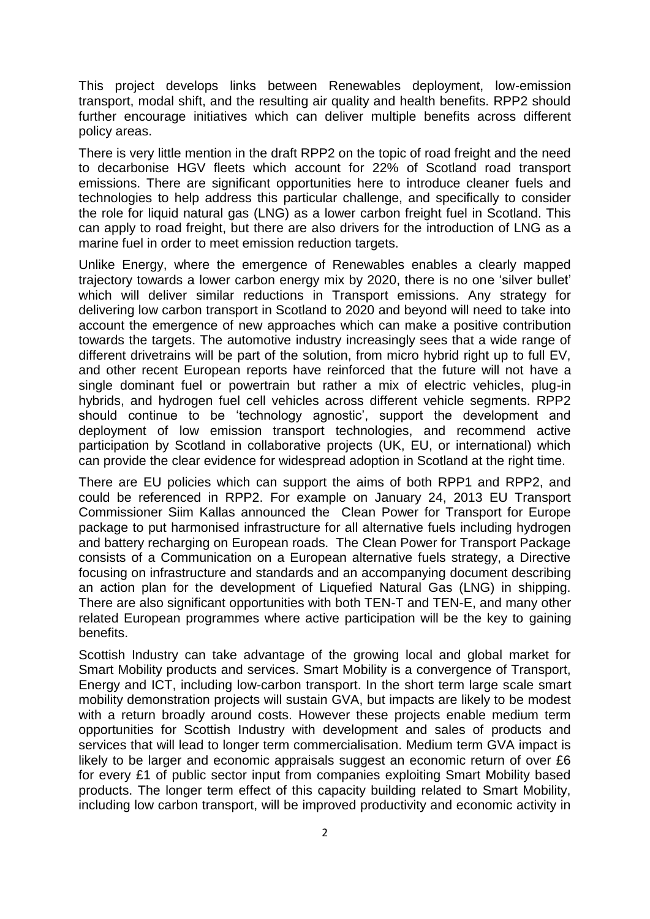This project develops links between Renewables deployment, low-emission transport, modal shift, and the resulting air quality and health benefits. RPP2 should further encourage initiatives which can deliver multiple benefits across different policy areas.

There is very little mention in the draft RPP2 on the topic of road freight and the need to decarbonise HGV fleets which account for 22% of Scotland road transport emissions. There are significant opportunities here to introduce cleaner fuels and technologies to help address this particular challenge, and specifically to consider the role for liquid natural gas (LNG) as a lower carbon freight fuel in Scotland. This can apply to road freight, but there are also drivers for the introduction of LNG as a marine fuel in order to meet emission reduction targets.

Unlike Energy, where the emergence of Renewables enables a clearly mapped trajectory towards a lower carbon energy mix by 2020, there is no one 'silver bullet' which will deliver similar reductions in Transport emissions. Any strategy for delivering low carbon transport in Scotland to 2020 and beyond will need to take into account the emergence of new approaches which can make a positive contribution towards the targets. The automotive industry increasingly sees that a wide range of different drivetrains will be part of the solution, from micro hybrid right up to full EV, and other recent European reports have reinforced that the future will not have a single dominant fuel or powertrain but rather a mix of electric vehicles, plug-in hybrids, and hydrogen fuel cell vehicles across different vehicle segments. RPP2 should continue to be 'technology agnostic', support the development and deployment of low emission transport technologies, and recommend active participation by Scotland in collaborative projects (UK, EU, or international) which can provide the clear evidence for widespread adoption in Scotland at the right time.

There are EU policies which can support the aims of both RPP1 and RPP2, and could be referenced in RPP2. For example on January 24, 2013 EU Transport Commissioner Siim Kallas announced the Clean Power for Transport for Europe package to put harmonised infrastructure for all alternative fuels including hydrogen and battery recharging on European roads. The Clean Power for Transport Package consists of a Communication on a European alternative fuels strategy, a Directive focusing on infrastructure and standards and an accompanying document describing an action plan for the development of Liquefied Natural Gas (LNG) in shipping. There are also significant opportunities with both TEN-T and TEN-E, and many other related European programmes where active participation will be the key to gaining benefits.

Scottish Industry can take advantage of the growing local and global market for Smart Mobility products and services. Smart Mobility is a convergence of Transport, Energy and ICT, including low-carbon transport. In the short term large scale smart mobility demonstration projects will sustain GVA, but impacts are likely to be modest with a return broadly around costs. However these projects enable medium term opportunities for Scottish Industry with development and sales of products and services that will lead to longer term commercialisation. Medium term GVA impact is likely to be larger and economic appraisals suggest an economic return of over £6 for every £1 of public sector input from companies exploiting Smart Mobility based products. The longer term effect of this capacity building related to Smart Mobility, including low carbon transport, will be improved productivity and economic activity in